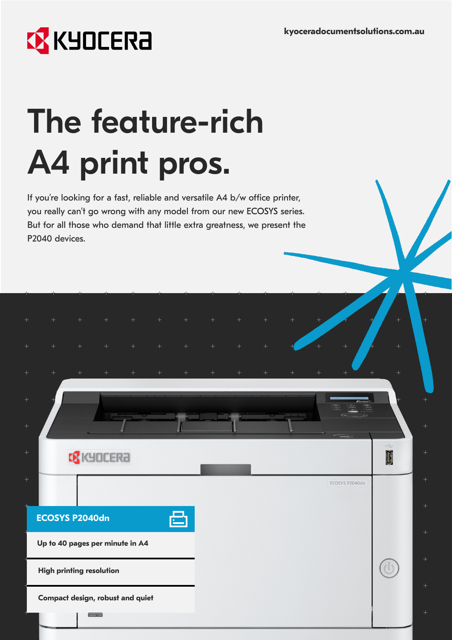# **EX** KYOCERA

# The feature-rich A4 print pros.

If you're looking for a fast, reliable and versatile A4 b/w office printer, you really can't go wrong with any model from our new ECOSYS series. But for all those who demand that little extra greatness, we present the P2040 devices.